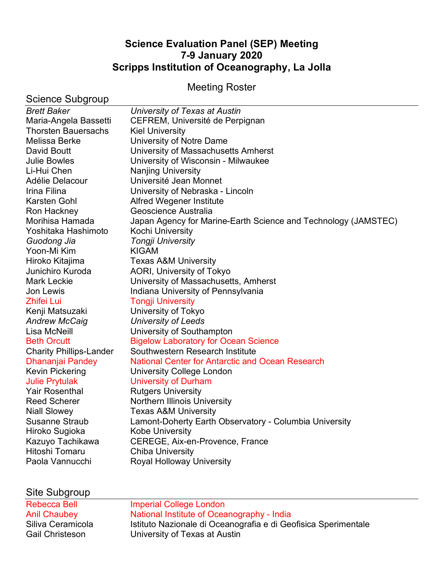# **Science Evaluation Panel (SEP) Meeting 7-9 January 2020 Scripps Institution of Oceanography, La Jolla**

# Meeting Roster

| Science Subgroup               |                                                                |
|--------------------------------|----------------------------------------------------------------|
| <b>Brett Baker</b>             | University of Texas at Austin                                  |
| Maria-Angela Bassetti          | CEFREM, Université de Perpignan                                |
| <b>Thorsten Bauersachs</b>     | <b>Kiel University</b>                                         |
| Melissa Berke                  | University of Notre Dame                                       |
| David Boutt                    | University of Massachusetts Amherst                            |
| <b>Julie Bowles</b>            | University of Wisconsin - Milwaukee                            |
| Li-Hui Chen                    | <b>Nanjing University</b>                                      |
| Adélie Delacour                | Université Jean Monnet                                         |
| Irina Filina                   | University of Nebraska - Lincoln                               |
| Karsten Gohl                   | Alfred Wegener Institute                                       |
| Ron Hackney                    | Geoscience Australia                                           |
| Morihisa Hamada                | Japan Agency for Marine-Earth Science and Technology (JAMSTEC) |
| Yoshitaka Hashimoto            | Kochi University                                               |
| Guodong Jia                    | Tongji University                                              |
| Yoon-Mi Kim                    | <b>KIGAM</b>                                                   |
| Hiroko Kitajima                | <b>Texas A&amp;M University</b>                                |
| Junichiro Kuroda               | AORI, University of Tokyo                                      |
| <b>Mark Leckie</b>             | University of Massachusetts, Amherst                           |
| Jon Lewis                      | Indiana University of Pennsylvania                             |
| <b>Zhifei Lui</b>              | <b>Tongji University</b>                                       |
| Kenji Matsuzaki                | University of Tokyo                                            |
| <b>Andrew McCaig</b>           | University of Leeds                                            |
| Lisa McNeill                   | University of Southampton                                      |
| <b>Beth Orcutt</b>             | <b>Bigelow Laboratory for Ocean Science</b>                    |
| <b>Charity Phillips-Lander</b> | Southwestern Research Institute                                |
| Dhananjai Pandey               | <b>National Center for Antarctic and Ocean Research</b>        |
| Kevin Pickering                | University College London                                      |
| <b>Julie Prytulak</b>          | <b>University of Durham</b>                                    |
| <b>Yair Rosenthal</b>          | <b>Rutgers University</b>                                      |
| <b>Reed Scherer</b>            | <b>Northern Illinois University</b>                            |
| <b>Niall Slowey</b>            | <b>Texas A&amp;M University</b>                                |
| <b>Susanne Straub</b>          | Lamont-Doherty Earth Observatory - Columbia University         |
| Hiroko Sugioka                 | <b>Kobe University</b>                                         |
| Kazuyo Tachikawa               | CEREGE, Aix-en-Provence, France                                |
| Hitoshi Tomaru                 | <b>Chiba University</b>                                        |
| Paola Vannucchi                | <b>Royal Holloway University</b>                               |
|                                |                                                                |

# Site Subgroup

| <b>Rebecca Bell</b>    | Imperial College London                                        |
|------------------------|----------------------------------------------------------------|
| <b>Anil Chaubey</b>    | National Institute of Oceanography - India                     |
| Siliva Ceramicola      | Istituto Nazionale di Oceanografia e di Geofisica Sperimentale |
| <b>Gail Christeson</b> | University of Texas at Austin                                  |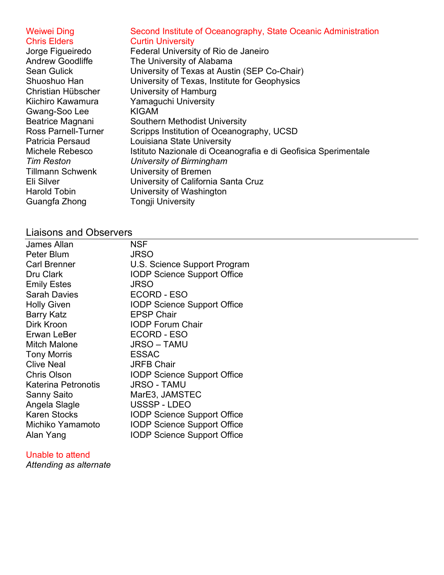Gwang-Soo Lee KIGAM Guangfa Zhong Tongji University

#### Weiwei Ding Second Institute of Oceanography, State Oceanic Administration Chris Elders Curtin University

Jorge Figueiredo Federal University of Rio de Janeiro Andrew Goodliffe The University of Alabama Sean Gulick University of Texas at Austin (SEP Co-Chair) Shuoshuo Han University of Texas, Institute for Geophysics Christian Hübscher University of Hamburg Kiichiro Kawamura Yamaguchi University Beatrice Magnani Southern Methodist University Ross Parnell-Turner Scripps Institution of Oceanography, UCSD<br>Patricia Persaud Louisiana State University Louisiana State University Michele Rebesco Istituto Nazionale di Oceanografia e di Geofisica Sperimentale *Tim Reston University of Birmingham* Tillmann Schwenk University of Bremen Eli Silver University of California Santa Cruz Harold Tobin University of Washington

# Liaisons and Observers

| <b>James Allan</b>  | NSF                                |
|---------------------|------------------------------------|
| Peter Blum          | <b>JRSO</b>                        |
| <b>Carl Brenner</b> | U.S. Science Support Program       |
| Dru Clark           | <b>IODP Science Support Office</b> |
| <b>Emily Estes</b>  | <b>JRSO</b>                        |
| <b>Sarah Davies</b> | <b>ECORD - ESO</b>                 |
| <b>Holly Given</b>  | <b>IODP Science Support Office</b> |
| <b>Barry Katz</b>   | <b>EPSP Chair</b>                  |
| Dirk Kroon          | <b>IODP Forum Chair</b>            |
| Erwan LeBer         | ECORD - ESO                        |
| <b>Mitch Malone</b> | <b>JRSO – TAMU</b>                 |
| <b>Tony Morris</b>  | <b>ESSAC</b>                       |
| <b>Clive Neal</b>   | <b>JRFB Chair</b>                  |
| <b>Chris Olson</b>  | <b>IODP Science Support Office</b> |
| Katerina Petronotis | <b>JRSO - TAMU</b>                 |
| Sanny Saito         | MarE3, JAMSTEC                     |
| Angela Slagle       | USSSP - LDEO                       |
| <b>Karen Stocks</b> | <b>IODP Science Support Office</b> |
| Michiko Yamamoto    | <b>IODP Science Support Office</b> |
| Alan Yang           | <b>IODP Science Support Office</b> |

### Unable to attend

*Attending as alternate*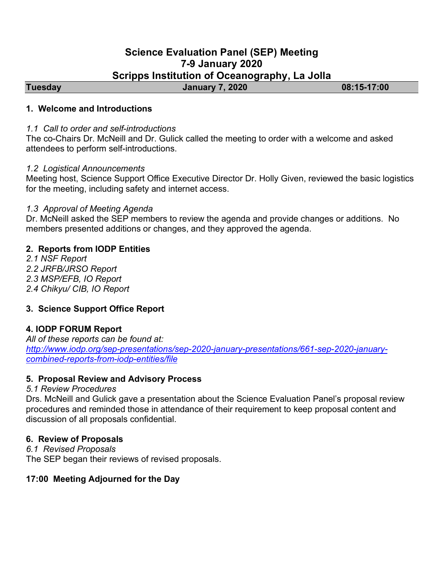# **Science Evaluation Panel (SEP) Meeting 7-9 January 2020 Scripps Institution of Oceanography, La Jolla**

**Tuesday January 7, 2020 08:15-17:00** 

# **1. Welcome and Introductions**

#### *1.1 Call to order and self-introductions*

The co-Chairs Dr. McNeill and Dr. Gulick called the meeting to order with a welcome and asked attendees to perform self-introductions.

#### *1.2 Logistical Announcements*

Meeting host, Science Support Office Executive Director Dr. Holly Given, reviewed the basic logistics for the meeting, including safety and internet access.

### *1.3 Approval of Meeting Agenda*

Dr. McNeill asked the SEP members to review the agenda and provide changes or additions. No members presented additions or changes, and they approved the agenda.

# **2. Reports from IODP Entities**

*2.1 NSF Report 2.2 JRFB/JRSO Report 2.3 MSP/EFB, IO Report 2.4 Chikyu/ CIB, IO Report*

# **3. Science Support Office Report**

### **4. IODP FORUM Report**

*All of these reports can be found at: http://www.iodp.org/sep-presentations/sep-2020-january-presentations/661-sep-2020-januarycombined-reports-from-iodp-entities/file*

### **5. Proposal Review and Advisory Process**

### *5.1 Review Procedures*

Drs. McNeill and Gulick gave a presentation about the Science Evaluation Panel's proposal review procedures and reminded those in attendance of their requirement to keep proposal content and discussion of all proposals confidential.

### **6. Review of Proposals**

*6.1 Revised Proposals* The SEP began their reviews of revised proposals.

### **17:00 Meeting Adjourned for the Day**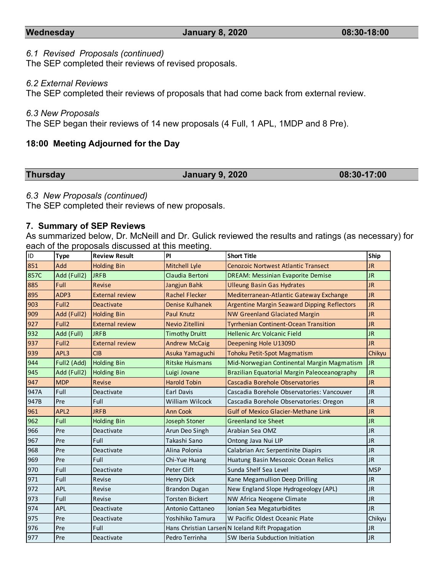#### **Wednesday January 8, 2020 08:30-18:00**

#### *6.1 Revised Proposals (continued)*

The SEP completed their reviews of revised proposals.

#### *6.2 External Reviews*

The SEP completed their reviews of proposals that had come back from external review.

#### *6.3 New Proposals*

The SEP began their reviews of 14 new proposals (4 Full, 1 APL, 1MDP and 8 Pre).

#### **18:00 Meeting Adjourned for the Day**

#### **Thursday January 9, 2020 08:30-17:00**

#### *6.3 New Proposals (continued)*

The SEP completed their reviews of new proposals.

#### **7. Summary of SEP Reviews**

As summarized below, Dr. McNeill and Dr. Gulick reviewed the results and ratings (as necessary) for each of the proposals discussed at this meeting.

| <b>ID</b> | <b>Type</b>       | <b>Review Result</b>   | PI                     | <b>Short Title</b>                                 | Ship       |
|-----------|-------------------|------------------------|------------------------|----------------------------------------------------|------------|
| 851       | Add               | <b>Holding Bin</b>     | Mitchell Lyle          | <b>Cenozoic Nortwest Atlantic Transect</b>         | <b>JR</b>  |
| 857C      | Add (Full2)       | <b>JRFB</b>            | Claudia Bertoni        | <b>DREAM: Messinian Evaporite Demise</b>           | <b>JR</b>  |
| 885       | Full              | <b>Revise</b>          | Jangjun Bahk           | <b>Ulleung Basin Gas Hydrates</b>                  | <b>JR</b>  |
| 895       | ADP3              | <b>External review</b> | <b>Rachel Flecker</b>  | Mediterranean-Atlantic Gateway Exchange            | <b>JR</b>  |
| 903       | Full <sub>2</sub> | <b>Deactivate</b>      | <b>Denise Kulhanek</b> | <b>Argentine Margin Seaward Dipping Reflectors</b> | <b>JR</b>  |
| 909       | Add (Full2)       | <b>Holding Bin</b>     | <b>Paul Knutz</b>      | <b>NW Greenland Glaciated Margin</b>               | <b>JR</b>  |
| 927       | Full <sub>2</sub> | <b>External review</b> | Nevio Zitellini        | <b>Tyrrhenian Continent-Ocean Transition</b>       | <b>JR</b>  |
| 932       | Add (Full)        | <b>JRFB</b>            | <b>Timothy Druitt</b>  | <b>Hellenic Arc Volcanic Field</b>                 | <b>JR</b>  |
| 937       | Full <sub>2</sub> | <b>External review</b> | <b>Andrew McCaig</b>   | Deepening Hole U1309D                              | <b>JR</b>  |
| 939       | APL3              | CIB                    | Asuka Yamaguchi        | Tohoku Petit-Spot Magmatism                        | Chikyu     |
| 944       | Full2 (Add)       | <b>Holding Bin</b>     | <b>Ritske Huismans</b> | Mid-Norwegian Continental Margin Magmatism         | <b>JR</b>  |
| 945       | Add (Full2)       | <b>Holding Bin</b>     | Luigi Jovane           | Brazilian Equatorial Margin Paleoceanography       | <b>JR</b>  |
| 947       | <b>MDP</b>        | <b>Revise</b>          | <b>Harold Tobin</b>    | Cascadia Borehole Observatories                    | <b>JR</b>  |
| 947A      | Full              | Deactivate             | <b>Earl Davis</b>      | Cascadia Borehole Observatories: Vancouver         | <b>JR</b>  |
| 947B      | Pre               | Full                   | William Wilcock        | Cascadia Borehole Observatories: Oregon            | <b>JR</b>  |
| 961       | APL <sub>2</sub>  | <b>JRFB</b>            | <b>Ann Cook</b>        | <b>Gulf of Mexico Glacier-Methane Link</b>         | <b>JR</b>  |
| 962       | Full              | <b>Holding Bin</b>     | <b>Joseph Stoner</b>   | <b>Greenland Ice Sheet</b>                         | <b>JR</b>  |
| 966       | Pre               | Deactivate             | Arun Deo Singh         | Arabian Sea OMZ                                    | <b>JR</b>  |
| 967       | Pre               | Full                   | Takashi Sano           | Ontong Java Nui LIP                                | <b>JR</b>  |
| 968       | Pre               | Deactivate             | Alina Polonia          | Calabrian Arc Serpentinite Diapirs                 | <b>JR</b>  |
| 969       | Pre               | Full                   | Chi-Yue Huang          | Huatung Basin Mesozoic Ocean Relics                | <b>JR</b>  |
| 970       | Full              | Deactivate             | Peter Clift            | Sunda Shelf Sea Level                              | <b>MSP</b> |
| 971       | Full              | Revise                 | <b>Henry Dick</b>      | Kane Megamullion Deep Drilling                     | <b>JR</b>  |
| 972       | APL               | Revise                 | <b>Brandon Dugan</b>   | New England Slope Hydrogeology (APL)               | <b>JR</b>  |
| 973       | Full              | Revise                 | <b>Torsten Bickert</b> | NW Africa Neogene Climate                          | <b>JR</b>  |
| 974       | APL               | Deactivate             | Antonio Cattaneo       | Ionian Sea Megaturbidites                          | <b>JR</b>  |
| 975       | Pre               | Deactivate             | Yoshihiko Tamura       | W Pacific Oldest Oceanic Plate                     | Chikyu     |
| 976       | Pre               | Full                   |                        | Hans Christian Larsen N Iceland Rift Propagation   | <b>JR</b>  |
| 977       | Pre               | Deactivate             | Pedro Terrinha         | SW Iberia Subduction Initiation                    | <b>JR</b>  |